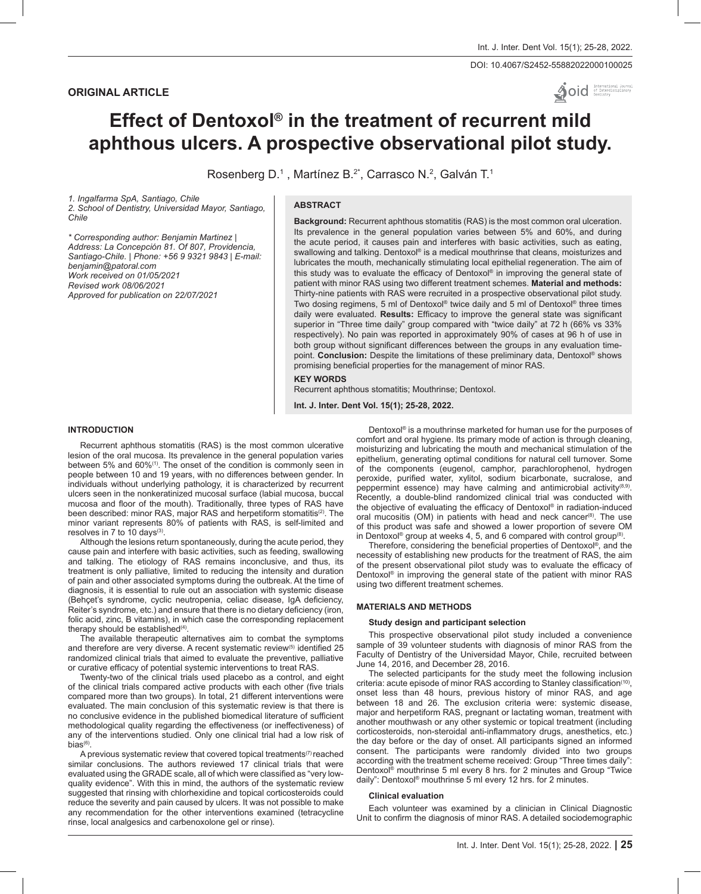# **ORIGINAL ARTICLE**

DOI: 10.4067/S2452-55882022000100025

 $\bullet$  oid  $\bullet$  International Journal

# **Effect of Dentoxol® in the treatment of recurrent mild aphthous ulcers. A prospective observational pilot study.**

Rosenberg D.<sup>1</sup>, Martínez B.<sup>2\*</sup>, Carrasco N.<sup>2</sup>, Galván T.<sup>1</sup>

*1. Ingalfarma SpA, Santiago, Chile*

*2. School of Dentistry, Universidad Mayor, Santiago, Chile*

# **ABSTRACT**

*\* Corresponding author: Benjamin Martinez | Address: La Concepción 81. Of 807, Providencia, Santiago-Chile. | Phone: +56 9 9321 9843 | E-mail: benjamin@patoral.com Work received on 01/05/2021 Revised work 08/06/2021 Approved for publication on 22/07/2021*

**Background:** Recurrent aphthous stomatitis (RAS) is the most common oral ulceration. Its prevalence in the general population varies between 5% and 60%, and during the acute period, it causes pain and interferes with basic activities, such as eating, swallowing and talking. Dentoxol® is a medical mouthrinse that cleans, moisturizes and lubricates the mouth, mechanically stimulating local epithelial regeneration. The aim of this study was to evaluate the efficacy of Dentoxol® in improving the general state of patient with minor RAS using two different treatment schemes. **Material and methods:** Thirty-nine patients with RAS were recruited in a prospective observational pilot study. Two dosing regimens, 5 ml of Dentoxol® twice daily and 5 ml of Dentoxol® three times daily were evaluated. **Results:** Efficacy to improve the general state was significant superior in "Three time daily" group compared with "twice daily" at 72 h (66% vs 33% respectively). No pain was reported in approximately 90% of cases at 96 h of use in both group without significant differences between the groups in any evaluation timepoint. **Conclusion:** Despite the limitations of these preliminary data, Dentoxol® shows promising beneficial properties for the management of minor RAS.

# **KEY WORDS**

Recurrent aphthous stomatitis; Mouthrinse; Dentoxol.

**Int. J. Inter. Dent Vol. 15(1); 25-28, 2022.**

# **INTRODUCTION**

Recurrent aphthous stomatitis (RAS) is the most common ulcerative lesion of the oral mucosa. Its prevalence in the general population varies between 5% and 60%<sup>(1)</sup>. The onset of the condition is commonly seen in people between 10 and 19 years, with no differences between gender. In individuals without underlying pathology, it is characterized by recurrent ulcers seen in the nonkeratinized mucosal surface (labial mucosa, buccal mucosa and floor of the mouth). Traditionally, three types of RAS have been described: minor RAS, major RAS and herpetiform stomatitis<sup>(2)</sup>. The minor variant represents 80% of patients with RAS, is self-limited and resolves in 7 to 10 days(3).

Although the lesions return spontaneously, during the acute period, they cause pain and interfere with basic activities, such as feeding, swallowing and talking. The etiology of RAS remains inconclusive, and thus, its treatment is only palliative, limited to reducing the intensity and duration of pain and other associated symptoms during the outbreak. At the time of diagnosis, it is essential to rule out an association with systemic disease (Behçet's syndrome, cyclic neutropenia, celiac disease, IgA deficiency, Reiter's syndrome, etc.) and ensure that there is no dietary deficiency (iron, folic acid, zinc, B vitamins), in which case the corresponding replacement therapy should be established $(4)$ .

The available therapeutic alternatives aim to combat the symptoms and therefore are very diverse. A recent systematic review<sup>(5)</sup> identified 25 randomized clinical trials that aimed to evaluate the preventive, palliative or curative efficacy of potential systemic interventions to treat RAS.

Twenty-two of the clinical trials used placebo as a control, and eight of the clinical trials compared active products with each other (five trials compared more than two groups). In total, 21 different interventions were evaluated. The main conclusion of this systematic review is that there is no conclusive evidence in the published biomedical literature of sufficient methodological quality regarding the effectiveness (or ineffectiveness) of any of the interventions studied. Only one clinical trial had a low risk of bias $(6)$ .

A previous systematic review that covered topical treatments<sup>(7)</sup> reached similar conclusions. The authors reviewed 17 clinical trials that were evaluated using the GRADE scale, all of which were classified as "very lowquality evidence". With this in mind, the authors of the systematic review suggested that rinsing with chlorhexidine and topical corticosteroids could reduce the severity and pain caused by ulcers. It was not possible to make any recommendation for the other interventions examined (tetracycline rinse, local analgesics and carbenoxolone gel or rinse).

Dentoxol® is a mouthrinse marketed for human use for the purposes of comfort and oral hygiene. Its primary mode of action is through cleaning, moisturizing and lubricating the mouth and mechanical stimulation of the epithelium, generating optimal conditions for natural cell turnover. Some of the components (eugenol, camphor, parachlorophenol, hydrogen peroxide, purified water, xylitol, sodium bicarbonate, sucralose, and peppermint essence) may have calming and antimicrobial activity<sup>(8,9)</sup>. Recently, a double-blind randomized clinical trial was conducted with the objective of evaluating the efficacy of Dentoxol® in radiation-induced oral mucositis (OM) in patients with head and neck cancer<sup>(8)</sup>. The use of this product was safe and showed a lower proportion of severe OM in Dentoxol® group at weeks 4, 5, and 6 compared with control group $(8)$ .

Therefore, considering the beneficial properties of Dentoxol®, and the necessity of establishing new products for the treatment of RAS, the aim of the present observational pilot study was to evaluate the efficacy of Dentoxol® in improving the general state of the patient with minor RAS using two different treatment schemes.

#### **MATERIALS AND METHODS**

#### **Study design and participant selection**

This prospective observational pilot study included a convenience sample of 39 volunteer students with diagnosis of minor RAS from the Faculty of Dentistry of the Universidad Mayor, Chile, recruited between June 14, 2016, and December 28, 2016.

The selected participants for the study meet the following inclusion criteria: acute episode of minor RAS according to Stanley classification<sup>(10)</sup>, onset less than 48 hours, previous history of minor RAS, and age between 18 and 26. The exclusion criteria were: systemic disease, major and herpetiform RAS, pregnant or lactating woman, treatment with another mouthwash or any other systemic or topical treatment (including corticosteroids, non-steroidal anti-inflammatory drugs, anesthetics, etc.) the day before or the day of onset. All participants signed an informed consent. The participants were randomly divided into two groups according with the treatment scheme received: Group "Three times daily": Dentoxol® mouthrinse 5 ml every 8 hrs. for 2 minutes and Group "Twice daily": Dentoxol® mouthrinse 5 ml every 12 hrs. for 2 minutes.

#### **Clinical evaluation**

Each volunteer was examined by a clinician in Clinical Diagnostic Unit to confirm the diagnosis of minor RAS. A detailed sociodemographic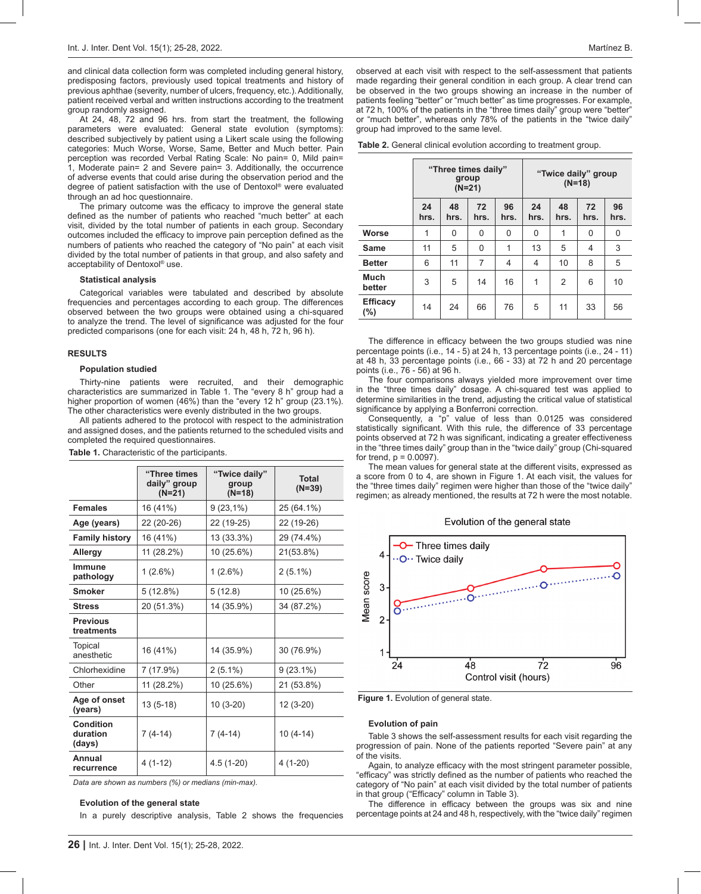and clinical data collection form was completed including general history, predisposing factors, previously used topical treatments and history of previous aphthae (severity, number of ulcers, frequency, etc.). Additionally, patient received verbal and written instructions according to the treatment group randomly assigned.

At 24, 48, 72 and 96 hrs. from start the treatment, the following parameters were evaluated: General state evolution (symptoms): described subjectively by patient using a Likert scale using the following categories: Much Worse, Worse, Same, Better and Much better. Pain perception was recorded Verbal Rating Scale: No pain= 0, Mild pain= 1, Moderate pain= 2 and Severe pain= 3. Additionally, the occurrence of adverse events that could arise during the observation period and the degree of patient satisfaction with the use of Dentoxol® were evaluated through an ad hoc questionnaire.

The primary outcome was the efficacy to improve the general state defined as the number of patients who reached "much better" at each visit, divided by the total number of patients in each group. Secondary outcomes included the efficacy to improve pain perception defined as the numbers of patients who reached the category of "No pain" at each visit divided by the total number of patients in that group, and also safety and acceptability of Dentoxol® use.

#### **Statistical analysis**

Categorical variables were tabulated and described by absolute frequencies and percentages according to each group. The differences observed between the two groups were obtained using a chi-squared to analyze the trend. The level of significance was adjusted for the four predicted comparisons (one for each visit: 24 h, 48 h, 72 h, 96 h).

#### **RESULTS**

#### **Population studied**

Thirty-nine patients were recruited, and their demographic characteristics are summarized in Table 1. The "every 8 h" group had a higher proportion of women (46%) than the "every 12 h" group (23.1%). The other characteristics were evenly distributed in the two groups.

All patients adhered to the protocol with respect to the administration and assigned doses, and the patients returned to the scheduled visits and completed the required questionnaires.

|                                 | "Three times<br>daily" group<br>$(N=21)$ | "Twice daily"<br>group<br>$(N=18)$ | <b>Total</b><br>$(N=39)$ |  |
|---------------------------------|------------------------------------------|------------------------------------|--------------------------|--|
| <b>Females</b>                  | 16 (41%)                                 | $9(23,1\%)$                        | 25 (64.1%)               |  |
| Age (years)                     | 22 (20-26)                               | 22 (19-25)                         | 22 (19-26)               |  |
| <b>Family history</b>           | 16 (41%)                                 | 13 (33.3%)                         | 29 (74.4%)               |  |
| Allergy                         | 11 (28.2%)                               | 10 (25.6%)                         | 21(53.8%)                |  |
| Immune<br>pathology             | $1(2.6\%)$                               | $1(2.6\%)$                         | $2(5.1\%)$               |  |
| <b>Smoker</b>                   | 5(12.8%)                                 | 5(12.8)                            | 10 (25.6%)               |  |
| <b>Stress</b>                   | 20 (51.3%)                               | 14 (35.9%)                         | 34 (87.2%)               |  |
| <b>Previous</b><br>treatments   |                                          |                                    |                          |  |
| Topical<br>anesthetic           | 16 (41%)                                 | 14 (35.9%)                         | 30 (76.9%)               |  |
| Chlorhexidine                   | 7 (17.9%)                                | $2(5.1\%)$                         | $9(23.1\%)$              |  |
| Other                           | 11 (28.2%)                               | 10 (25.6%)                         | 21 (53.8%)               |  |
| Age of onset<br>(years)         | $13(5-18)$                               | $10(3-20)$                         | $12(3-20)$               |  |
| Condition<br>duration<br>(days) | $7(4-14)$                                | $7(4-14)$                          | $10(4-14)$               |  |
| Annual<br>recurrence            | $4(1-12)$                                | $4.5(1-20)$                        | $4(1-20)$                |  |

**Table 1.** Characteristic of the participants.

*Data are shown as numbers (%) or medians (min-max).*

# **Evolution of the general state**

In a purely descriptive analysis, Table 2 shows the frequencies

observed at each visit with respect to the self-assessment that patients made regarding their general condition in each group. A clear trend can be observed in the two groups showing an increase in the number of patients feeling "better" or "much better" as time progresses. For example, at 72 h, 100% of the patients in the "three times daily" group were "better" or "much better", whereas only 78% of the patients in the "twice daily" group had improved to the same level.

**Table 2.** General clinical evolution according to treatment group.

|                            | "Three times daily"<br>group<br>$(N=21)$ |            |            |            | "Twice daily" group<br>$(N=18)$ |            |            |            |
|----------------------------|------------------------------------------|------------|------------|------------|---------------------------------|------------|------------|------------|
|                            | 24<br>hrs.                               | 48<br>hrs. | 72<br>hrs. | 96<br>hrs. | 24<br>hrs.                      | 48<br>hrs. | 72<br>hrs. | 96<br>hrs. |
| Worse                      | 1                                        | 0          | 0          | 0          | 0                               | 1          | 0          | 0          |
| Same                       | 11                                       | 5          | 0          | 1          | 13                              | 5          | 4          | 3          |
| <b>Better</b>              | 6                                        | 11         | 7          | 4          | 4                               | 10         | 8          | 5          |
| <b>Much</b><br>better      | 3                                        | 5          | 14         | 16         | 1                               | 2          | 6          | 10         |
| <b>Efficacy</b><br>$(\% )$ | 14                                       | 24         | 66         | 76         | 5                               | 11         | 33         | 56         |

The difference in efficacy between the two groups studied was nine percentage points (i.e., 14 - 5) at 24 h, 13 percentage points (i.e., 24 - 11) at 48 h, 33 percentage points (i.e., 66 - 33) at 72 h and 20 percentage points (i.e., 76 - 56) at 96 h.

The four comparisons always yielded more improvement over time in the "three times daily" dosage. A chi-squared test was applied to determine similarities in the trend, adjusting the critical value of statistical significance by applying a Bonferroni correction.

Consequently, a "p" value of less than 0.0125 was considered statistically significant. With this rule, the difference of 33 percentage points observed at 72 h was significant, indicating a greater effectiveness in the "three times daily" group than in the "twice daily" group (Chi-squared for trend,  $p = 0.0097$ ).

The mean values for general state at the different visits, expressed as a score from 0 to 4, are shown in Figure 1. At each visit, the values for the "three times daily" regimen were higher than those of the "twice daily" regimen; as already mentioned, the results at 72 h were the most notable.

# Evolution of the general state



**Figure 1.** Evolution of general state.

## **Evolution of pain**

Table 3 shows the self-assessment results for each visit regarding the progression of pain. None of the patients reported "Severe pain" at any of the visits.

Again, to analyze efficacy with the most stringent parameter possible, "efficacy" was strictly defined as the number of patients who reached the category of "No pain" at each visit divided by the total number of patients in that group ("Efficacy" column in Table 3).

The difference in efficacy between the groups was six and nine percentage points at 24 and 48 h, respectively, with the "twice daily" regimen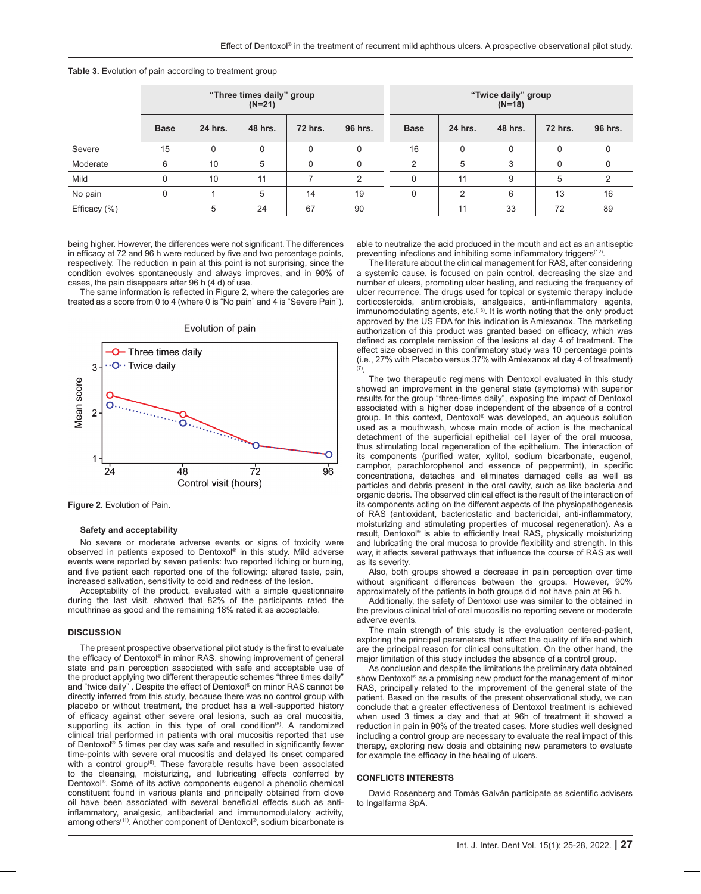|              | "Three times daily" group<br>$(N=21)$ |         |         |                | "Twice daily" group<br>$(N=18)$ |               |                |         |                |         |
|--------------|---------------------------------------|---------|---------|----------------|---------------------------------|---------------|----------------|---------|----------------|---------|
|              | <b>Base</b>                           | 24 hrs. | 48 hrs. | <b>72 hrs.</b> | 96 hrs.                         | <b>Base</b>   | 24 hrs.        | 48 hrs. | <b>72 hrs.</b> | 96 hrs. |
| Severe       | 15                                    | 0       | 0       | 0              | 0                               | 16            | 0              | 0       | 0              | 0       |
| Moderate     | 6                                     | 10      | 5       | 0              | 0                               | $\mathcal{P}$ | 5              | 3       |                | 0       |
| Mild         | $\Omega$                              | 10      | 11      | ⇁              | 2                               | $\Omega$      | 11             | 9       | 5              | 2       |
| No pain      | $\mathbf 0$                           |         | 5       | 14             | 19                              | $\Omega$      | $\overline{2}$ | 6       | 13             | 16      |
| Efficacy (%) |                                       | 5       | 24      | 67             | 90                              |               | 11             | 33      | 72             | 89      |

**Table 3.** Evolution of pain according to treatment group

being higher. However, the differences were not significant. The differences in efficacy at 72 and 96 h were reduced by five and two percentage points, respectively. The reduction in pain at this point is not surprising, since the condition evolves spontaneously and always improves, and in 90% of cases, the pain disappears after 96 h (4 d) of use.

The same information is reflected in Figure 2, where the categories are treated as a score from 0 to 4 (where 0 is "No pain" and 4 is "Severe Pain").



Evolution of pain

Figure 2. Evolution of Pain.

#### **Safety and acceptability**

No severe or moderate adverse events or signs of toxicity were observed in patients exposed to Dentoxol® in this study. Mild adverse events were reported by seven patients: two reported itching or burning, and five patient each reported one of the following: altered taste, pain, increased salivation, sensitivity to cold and redness of the lesion.

Acceptability of the product, evaluated with a simple questionnaire during the last visit, showed that 82% of the participants rated the mouthrinse as good and the remaining 18% rated it as acceptable.

## **DISCUSSION**

The present prospective observational pilot study is the first to evaluate the efficacy of Dentoxol® in minor RAS, showing improvement of general state and pain perception associated with safe and acceptable use of the product applying two different therapeutic schemes "three times daily" and "twice daily" . Despite the effect of Dentoxol® on minor RAS cannot be directly inferred from this study, because there was no control group with placebo or without treatment, the product has a well-supported history of efficacy against other severe oral lesions, such as oral mucositis, supporting its action in this type of oral condition $(8)$ . A randomized clinical trial performed in patients with oral mucositis reported that use of Dentoxol® 5 times per day was safe and resulted in significantly fewer time-points with severe oral mucositis and delayed its onset compared with a control group<sup>(8)</sup>. These favorable results have been associated to the cleansing, moisturizing, and lubricating effects conferred by Dentoxol®. Some of its active components eugenol a phenolic chemical constituent found in various plants and principally obtained from clove oil have been associated with several beneficial effects such as antiinflammatory, analgesic, antibacterial and immunomodulatory activity, among others<sup>(11)</sup>. Another component of Dentoxol®, sodium bicarbonate is

able to neutralize the acid produced in the mouth and act as an antiseptic preventing infections and inhibiting some inflammatory triggers<sup>(12)</sup>.

The literature about the clinical management for RAS, after considering a systemic cause, is focused on pain control, decreasing the size and number of ulcers, promoting ulcer healing, and reducing the frequency of ulcer recurrence. The drugs used for topical or systemic therapy include corticosteroids, antimicrobials, analgesics, anti-inflammatory agents,  $immunomodulating agents, etc.$ <sup> $(13)$ </sup>. It is worth noting that the only product approved by the US FDA for this indication is Amlexanox. The marketing authorization of this product was granted based on efficacy, which was defined as complete remission of the lesions at day 4 of treatment. The effect size observed in this confirmatory study was 10 percentage points (i.e., 27% with Placebo versus 37% with Amlexanox at day 4 of treatment) (7).

The two therapeutic regimens with Dentoxol evaluated in this study showed an improvement in the general state (symptoms) with superior results for the group "three-times daily", exposing the impact of Dentoxol associated with a higher dose independent of the absence of a control group. In this context, Dentoxol® was developed, an aqueous solution used as a mouthwash, whose main mode of action is the mechanical detachment of the superficial epithelial cell layer of the oral mucosa, thus stimulating local regeneration of the epithelium. The interaction of its components (purified water, xylitol, sodium bicarbonate, eugenol, camphor, parachlorophenol and essence of peppermint), in specific concentrations, detaches and eliminates damaged cells as well as particles and debris present in the oral cavity, such as like bacteria and organic debris. The observed clinical effect is the result of the interaction of its components acting on the different aspects of the physiopathogenesis of RAS (antioxidant, bacteriostatic and bactericidal, anti-inflammatory, moisturizing and stimulating properties of mucosal regeneration). As a result, Dentoxol® is able to efficiently treat RAS, physically moisturizing and lubricating the oral mucosa to provide flexibility and strength. In this way, it affects several pathways that influence the course of RAS as well as its severity.

Also, both groups showed a decrease in pain perception over time without significant differences between the groups. However, 90% approximately of the patients in both groups did not have pain at 96 h.

Additionally, the safety of Dentoxol use was similar to the obtained in the previous clinical trial of oral mucositis no reporting severe or moderate adverve events.

The main strength of this study is the evaluation centered-patient, exploring the principal parameters that affect the quality of life and which are the principal reason for clinical consultation. On the other hand, the major limitation of this study includes the absence of a control group.

As conclusion and despite the limitations the preliminary data obtained show Dentoxol® as a promising new product for the management of minor RAS, principally related to the improvement of the general state of the patient. Based on the results of the present observational study, we can conclude that a greater effectiveness of Dentoxol treatment is achieved when used 3 times a day and that at 96h of treatment it showed a reduction in pain in 90% of the treated cases. More studies well designed including a control group are necessary to evaluate the real impact of this therapy, exploring new dosis and obtaining new parameters to evaluate for example the efficacy in the healing of ulcers.

## **CONFLICTS INTERESTS**

David Rosenberg and Tomás Galván participate as scientific advisers to Ingalfarma SpA.